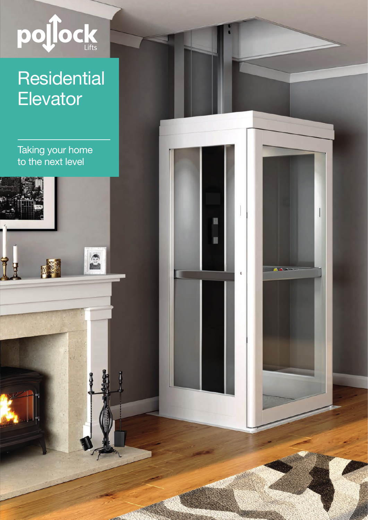

## **Residential Elevator**

Taking your home to the next level

**CO** 

E

E

 $\epsilon$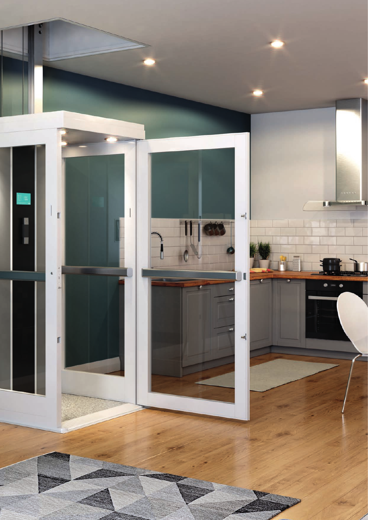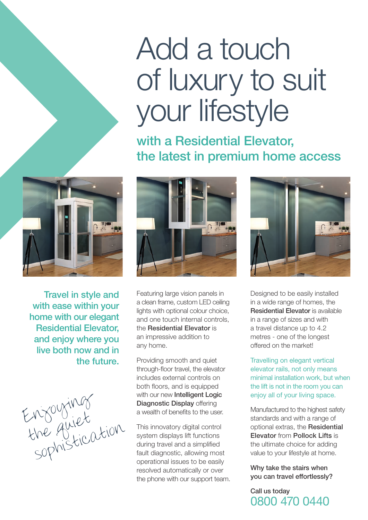# Add a touch of luxury to suit your lifestyle

with a Residential Elevator, the latest in premium home access



Travel in style and with ease within your home with our elegant Residential Elevator, and enjoy where you live both now and in the future.





Featuring large vision panels in a clean frame, custom LED ceiling lights with optional colour choice, and one touch internal controls, the Residential Elevator is an impressive addition to any home.

Providing smooth and quiet through-floor travel, the elevator includes external controls on both floors, and is equipped with our new Intelligent Logic Diagnostic Display offering a wealth of benefits to the user.

This innovatory digital control system displays lift functions during travel and a simplified fault diagnostic, allowing most operational issues to be easily resolved automatically or over the phone with our support team.



Designed to be easily installed in a wide range of homes, the Residential Elevator is available in a range of sizes and with a travel distance up to 4.2 metres - one of the longest offered on the market!

Travelling on elegant vertical elevator rails, not only means minimal installation work, but when the lift is not in the room you can enjoy all of your living space.

Manufactured to the highest safety standards and with a range of optional extras, the Residential Elevator from Pollock Lifts is the ultimate choice for adding value to your lifestyle at home.

Why take the stairs when you can travel effortlessly?

Call us today 0800 470 0440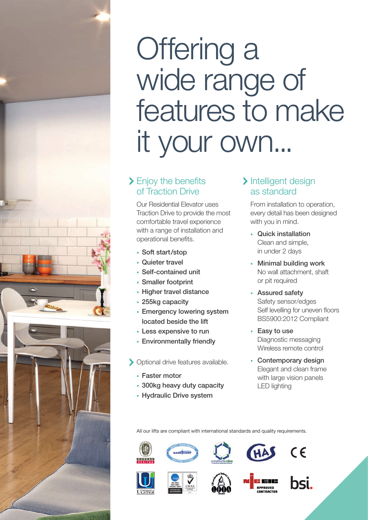# Offering a wide range of features to make it your own...

#### If Enjoy the benefits of Traction Drive

Our Residential Elevator uses Traction Drive to provide the most comfortable travel experience with a range of installation and operational benefits.

- Soft start/stop
- Quieter travel
- Self-contained unit
- Smaller footprint
- Higher travel distance
- 255kg capacity
- Emergency lowering system located beside the lift
- Less expensive to run
- Environmentally friendly
- Optional drive features available.
	- Faster motor
	- 300kg heavy duty capacity
	- Hydraulic Drive system

#### > Intelligent design as standard

From installation to operation, every detail has been designed with you in mind.

- Quick installation Clean and simple, in under 2 days
- Minimal building work No wall attachment, shaft or pit required
- Assured safety Safety sensor/edges Self levelling for uneven floors BS5900:2012 Compliant
- Easy to use Diagnostic messaging Wireless remote control
- Contemporary design Elegant and clean frame with large vision panels LED lighting

All our lifts are compliant with international standards and quality requirements.











 $\epsilon$ 





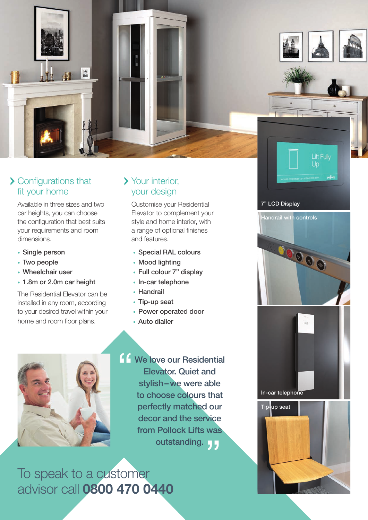

### $\sum$  Configurations that fit your home

Available in three sizes and two car heights, you can choose the configuration that best suits your requirements and room dimensions.

- Single person
- Two people
- Wheelchair user
- 1.8m or 2.0m car height

The Residential Elevator can be installed in any room, according to your desired travel within your home and room floor plans.

#### Your interior, your design

Customise your Residential Elevator to complement your style and home interior, with a range of optional finishes and features.

- Special RAL colours
- Mood lighting
- Full colour 7" display
- In-car telephone
- Handrail
- Tip-up seat
- Power operated door
- Auto dialler

We love our Residential Elevator. Quiet and stylish–we were able to choose colours that perfectly matched our decor and the service from Pollock Lifts was outstanding. **J J** "

To speak to a customer advisor call **0800 470 0440** 7" LCD Display







**Lift Fully** Up